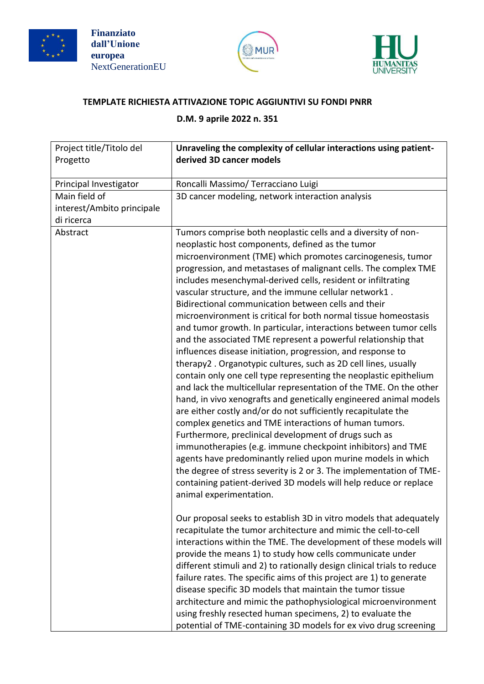





## **TEMPLATE RICHIESTA ATTIVAZIONE TOPIC AGGIUNTIVI SU FONDI PNRR**

## **D.M. 9 aprile 2022 n. 351**

| Project title/Titolo del<br>Progetto | Unraveling the complexity of cellular interactions using patient-<br>derived 3D cancer models                                                                                                                                                                                                                                                                                                                                                                                                                                                                                                                                                                                                                                                                                                                                                                                                                                                                                                                                                                                                                                                                                                                                                                                                                                                                                                                                                                                          |
|--------------------------------------|----------------------------------------------------------------------------------------------------------------------------------------------------------------------------------------------------------------------------------------------------------------------------------------------------------------------------------------------------------------------------------------------------------------------------------------------------------------------------------------------------------------------------------------------------------------------------------------------------------------------------------------------------------------------------------------------------------------------------------------------------------------------------------------------------------------------------------------------------------------------------------------------------------------------------------------------------------------------------------------------------------------------------------------------------------------------------------------------------------------------------------------------------------------------------------------------------------------------------------------------------------------------------------------------------------------------------------------------------------------------------------------------------------------------------------------------------------------------------------------|
| Principal Investigator               | Roncalli Massimo/ Terracciano Luigi                                                                                                                                                                                                                                                                                                                                                                                                                                                                                                                                                                                                                                                                                                                                                                                                                                                                                                                                                                                                                                                                                                                                                                                                                                                                                                                                                                                                                                                    |
| Main field of                        | 3D cancer modeling, network interaction analysis                                                                                                                                                                                                                                                                                                                                                                                                                                                                                                                                                                                                                                                                                                                                                                                                                                                                                                                                                                                                                                                                                                                                                                                                                                                                                                                                                                                                                                       |
| interest/Ambito principale           |                                                                                                                                                                                                                                                                                                                                                                                                                                                                                                                                                                                                                                                                                                                                                                                                                                                                                                                                                                                                                                                                                                                                                                                                                                                                                                                                                                                                                                                                                        |
| di ricerca                           |                                                                                                                                                                                                                                                                                                                                                                                                                                                                                                                                                                                                                                                                                                                                                                                                                                                                                                                                                                                                                                                                                                                                                                                                                                                                                                                                                                                                                                                                                        |
| Abstract                             | Tumors comprise both neoplastic cells and a diversity of non-<br>neoplastic host components, defined as the tumor<br>microenvironment (TME) which promotes carcinogenesis, tumor<br>progression, and metastases of malignant cells. The complex TME<br>includes mesenchymal-derived cells, resident or infiltrating<br>vascular structure, and the immune cellular network1.<br>Bidirectional communication between cells and their<br>microenvironment is critical for both normal tissue homeostasis<br>and tumor growth. In particular, interactions between tumor cells<br>and the associated TME represent a powerful relationship that<br>influences disease initiation, progression, and response to<br>therapy2. Organotypic cultures, such as 2D cell lines, usually<br>contain only one cell type representing the neoplastic epithelium<br>and lack the multicellular representation of the TME. On the other<br>hand, in vivo xenografts and genetically engineered animal models<br>are either costly and/or do not sufficiently recapitulate the<br>complex genetics and TME interactions of human tumors.<br>Furthermore, preclinical development of drugs such as<br>immunotherapies (e.g. immune checkpoint inhibitors) and TME<br>agents have predominantly relied upon murine models in which<br>the degree of stress severity is 2 or 3. The implementation of TME-<br>containing patient-derived 3D models will help reduce or replace<br>animal experimentation. |
|                                      | Our proposal seeks to establish 3D in vitro models that adequately<br>recapitulate the tumor architecture and mimic the cell-to-cell<br>interactions within the TME. The development of these models will<br>provide the means 1) to study how cells communicate under<br>different stimuli and 2) to rationally design clinical trials to reduce<br>failure rates. The specific aims of this project are 1) to generate<br>disease specific 3D models that maintain the tumor tissue<br>architecture and mimic the pathophysiological microenvironment<br>using freshly resected human specimens, 2) to evaluate the<br>potential of TME-containing 3D models for ex vivo drug screening                                                                                                                                                                                                                                                                                                                                                                                                                                                                                                                                                                                                                                                                                                                                                                                              |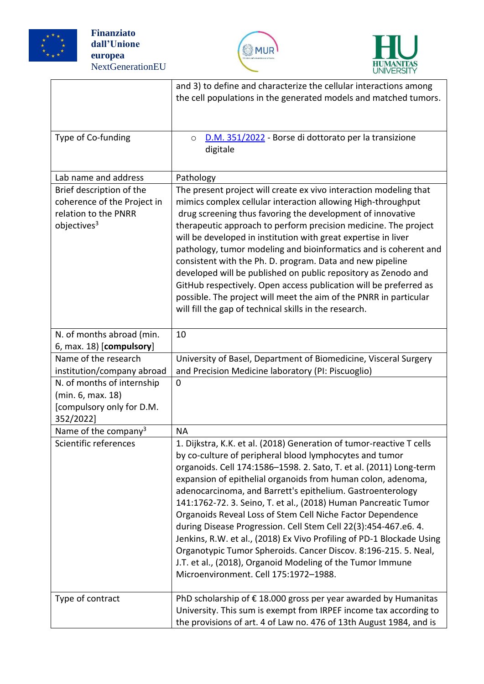





|                                                                                                            | and 3) to define and characterize the cellular interactions among<br>the cell populations in the generated models and matched tumors.                                                                                                                                                                                                                                                                                                                                                                                                                                                                                                                                                                                                                                                      |
|------------------------------------------------------------------------------------------------------------|--------------------------------------------------------------------------------------------------------------------------------------------------------------------------------------------------------------------------------------------------------------------------------------------------------------------------------------------------------------------------------------------------------------------------------------------------------------------------------------------------------------------------------------------------------------------------------------------------------------------------------------------------------------------------------------------------------------------------------------------------------------------------------------------|
| Type of Co-funding                                                                                         | D.M. 351/2022 - Borse di dottorato per la transizione<br>$\circ$<br>digitale                                                                                                                                                                                                                                                                                                                                                                                                                                                                                                                                                                                                                                                                                                               |
| Lab name and address                                                                                       | Pathology                                                                                                                                                                                                                                                                                                                                                                                                                                                                                                                                                                                                                                                                                                                                                                                  |
| Brief description of the<br>coherence of the Project in<br>relation to the PNRR<br>objectives <sup>3</sup> | The present project will create ex vivo interaction modeling that<br>mimics complex cellular interaction allowing High-throughput<br>drug screening thus favoring the development of innovative<br>therapeutic approach to perform precision medicine. The project<br>will be developed in institution with great expertise in liver<br>pathology, tumor modeling and bioinformatics and is coherent and<br>consistent with the Ph. D. program. Data and new pipeline<br>developed will be published on public repository as Zenodo and<br>GitHub respectively. Open access publication will be preferred as<br>possible. The project will meet the aim of the PNRR in particular<br>will fill the gap of technical skills in the research.                                                |
| N. of months abroad (min.<br>$6,$ max. 18) [compulsory]                                                    | 10                                                                                                                                                                                                                                                                                                                                                                                                                                                                                                                                                                                                                                                                                                                                                                                         |
| Name of the research                                                                                       | University of Basel, Department of Biomedicine, Visceral Surgery                                                                                                                                                                                                                                                                                                                                                                                                                                                                                                                                                                                                                                                                                                                           |
| institution/company abroad                                                                                 | and Precision Medicine laboratory (PI: Piscuoglio)                                                                                                                                                                                                                                                                                                                                                                                                                                                                                                                                                                                                                                                                                                                                         |
| N. of months of internship<br>(min. 6, max. 18)                                                            | $\mathbf 0$                                                                                                                                                                                                                                                                                                                                                                                                                                                                                                                                                                                                                                                                                                                                                                                |
| [compulsory only for D.M.<br>352/2022]                                                                     |                                                                                                                                                                                                                                                                                                                                                                                                                                                                                                                                                                                                                                                                                                                                                                                            |
| Name of the company <sup>3</sup>                                                                           | <b>NA</b>                                                                                                                                                                                                                                                                                                                                                                                                                                                                                                                                                                                                                                                                                                                                                                                  |
| Scientific references                                                                                      | 1. Dijkstra, K.K. et al. (2018) Generation of tumor-reactive T cells<br>by co-culture of peripheral blood lymphocytes and tumor<br>organoids. Cell 174:1586-1598. 2. Sato, T. et al. (2011) Long-term<br>expansion of epithelial organoids from human colon, adenoma,<br>adenocarcinoma, and Barrett's epithelium. Gastroenterology<br>141:1762-72. 3. Seino, T. et al., (2018) Human Pancreatic Tumor<br>Organoids Reveal Loss of Stem Cell Niche Factor Dependence<br>during Disease Progression. Cell Stem Cell 22(3):454-467.e6. 4.<br>Jenkins, R.W. et al., (2018) Ex Vivo Profiling of PD-1 Blockade Using<br>Organotypic Tumor Spheroids. Cancer Discov. 8:196-215. 5. Neal,<br>J.T. et al., (2018), Organoid Modeling of the Tumor Immune<br>Microenvironment. Cell 175:1972-1988. |
| Type of contract                                                                                           | PhD scholarship of $\epsilon$ 18.000 gross per year awarded by Humanitas<br>University. This sum is exempt from IRPEF income tax according to<br>the provisions of art. 4 of Law no. 476 of 13th August 1984, and is                                                                                                                                                                                                                                                                                                                                                                                                                                                                                                                                                                       |